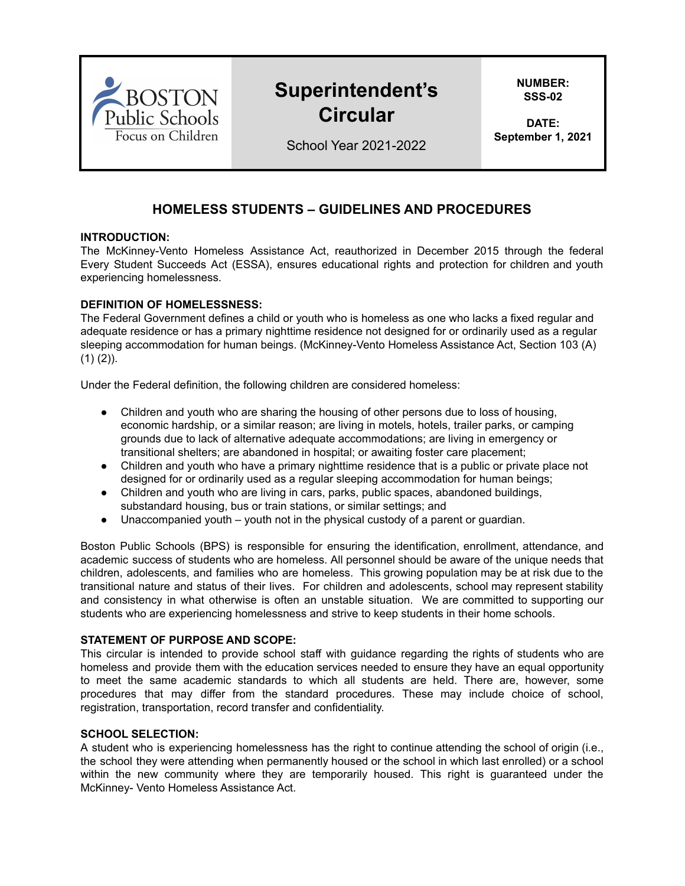

# **Superintendent's Circular**

**NUMBER: SSS-02**

**DATE: September 1, 2021**

School Year 2021-2022

# **HOMELESS STUDENTS – GUIDELINES AND PROCEDURES**

## **INTRODUCTION:**

The McKinney-Vento Homeless Assistance Act, reauthorized in December 2015 through the federal Every Student Succeeds Act (ESSA), ensures educational rights and protection for children and youth experiencing homelessness.

# **DEFINITION OF HOMELESSNESS:**

The Federal Government defines a child or youth who is homeless as one who lacks a fixed regular and adequate residence or has a primary nighttime residence not designed for or ordinarily used as a regular sleeping accommodation for human beings. (McKinney-Vento Homeless Assistance Act, Section 103 (A)  $(1)$   $(2)$ ).

Under the Federal definition, the following children are considered homeless:

- Children and youth who are sharing the housing of other persons due to loss of housing, economic hardship, or a similar reason; are living in motels, hotels, trailer parks, or camping grounds due to lack of alternative adequate accommodations; are living in emergency or transitional shelters; are abandoned in hospital; or awaiting foster care placement;
- Children and youth who have a primary nighttime residence that is a public or private place not designed for or ordinarily used as a regular sleeping accommodation for human beings;
- Children and youth who are living in cars, parks, public spaces, abandoned buildings, substandard housing, bus or train stations, or similar settings; and
- Unaccompanied youth youth not in the physical custody of a parent or guardian.

Boston Public Schools (BPS) is responsible for ensuring the identification, enrollment, attendance, and academic success of students who are homeless. All personnel should be aware of the unique needs that children, adolescents, and families who are homeless. This growing population may be at risk due to the transitional nature and status of their lives. For children and adolescents, school may represent stability and consistency in what otherwise is often an unstable situation. We are committed to supporting our students who are experiencing homelessness and strive to keep students in their home schools.

# **STATEMENT OF PURPOSE AND SCOPE:**

This circular is intended to provide school staff with guidance regarding the rights of students who are homeless and provide them with the education services needed to ensure they have an equal opportunity to meet the same academic standards to which all students are held. There are, however, some procedures that may differ from the standard procedures. These may include choice of school, registration, transportation, record transfer and confidentiality.

#### **SCHOOL SELECTION:**

A student who is experiencing homelessness has the right to continue attending the school of origin (i.e., the school they were attending when permanently housed or the school in which last enrolled) or a school within the new community where they are temporarily housed. This right is guaranteed under the McKinney- Vento Homeless Assistance Act.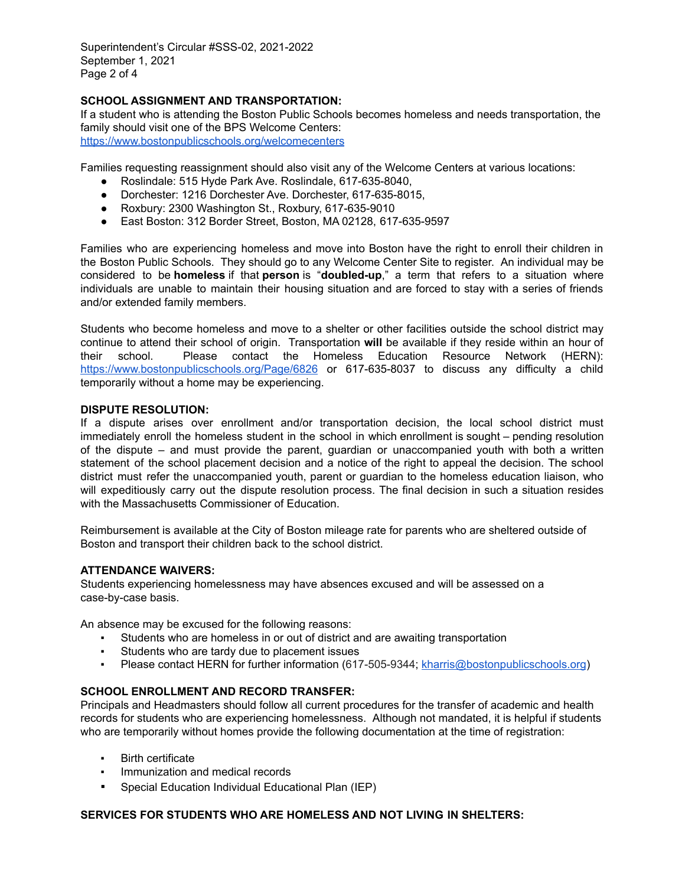Superintendent's Circular #SSS-02, 2021-2022 September 1, 2021 Page 2 of 4

# **SCHOOL ASSIGNMENT AND TRANSPORTATION:**

If a student who is attending the Boston Public Schools becomes homeless and needs transportation, the family should visit one of the BPS Welcome Centers: <https://www.bostonpublicschools.org/welcomecenters>

Families requesting reassignment should also visit any of the Welcome Centers at various locations:

- Roslindale: 515 Hyde Park Ave. Roslindale, 617-635-8040,
- Dorchester: 1216 Dorchester Ave. Dorchester, 617-635-8015,
- Roxbury: 2300 Washington St., Roxbury, 617-635-9010
- East Boston: 312 Border Street, Boston, MA 02128, 617-635-9597

Families who are experiencing homeless and move into Boston have the right to enroll their children in the Boston Public Schools. They should go to any Welcome Center Site to register. An individual may be considered to be **homeless** if that **person** is "**doubled-up**," a term that refers to a situation where individuals are unable to maintain their housing situation and are forced to stay with a series of friends and/or extended family members.

Students who become homeless and move to a shelter or other facilities outside the school district may continue to attend their school of origin. Transportation **will** be available if they reside within an hour of their school. Please contact the Homeless Education Resource Network (HERN): <https://www.bostonpublicschools.org/Page/6826> or 617-635-8037 to discuss any difficulty a child temporarily without a home may be experiencing.

#### **DISPUTE RESOLUTION:**

If a dispute arises over enrollment and/or transportation decision, the local school district must immediately enroll the homeless student in the school in which enrollment is sought – pending resolution of the dispute – and must provide the parent, guardian or unaccompanied youth with both a written statement of the school placement decision and a notice of the right to appeal the decision. The school district must refer the unaccompanied youth, parent or guardian to the homeless education liaison, who will expeditiously carry out the dispute resolution process. The final decision in such a situation resides with the Massachusetts Commissioner of Education.

Reimbursement is available at the City of Boston mileage rate for parents who are sheltered outside of Boston and transport their children back to the school district.

#### **ATTENDANCE WAIVERS:**

Students experiencing homelessness may have absences excused and will be assessed on a case-by-case basis.

An absence may be excused for the following reasons:

- Students who are homeless in or out of district and are awaiting transportation
- Students who are tardy due to placement issues
- Please contact HERN for further information (617-505-9344; [kharris@bostonpublicschools.org](mailto:kharris@bostonpublicschools.org))

# **SCHOOL ENROLLMENT AND RECORD TRANSFER:**

Principals and Headmasters should follow all current procedures for the transfer of academic and health records for students who are experiencing homelessness. Although not mandated, it is helpful if students who are temporarily without homes provide the following documentation at the time of registration:

- **Birth certificate**
- Immunization and medical records
- Special Education Individual Educational Plan (IEP)

# **SERVICES FOR STUDENTS WHO ARE HOMELESS AND NOT LIVING IN SHELTERS:**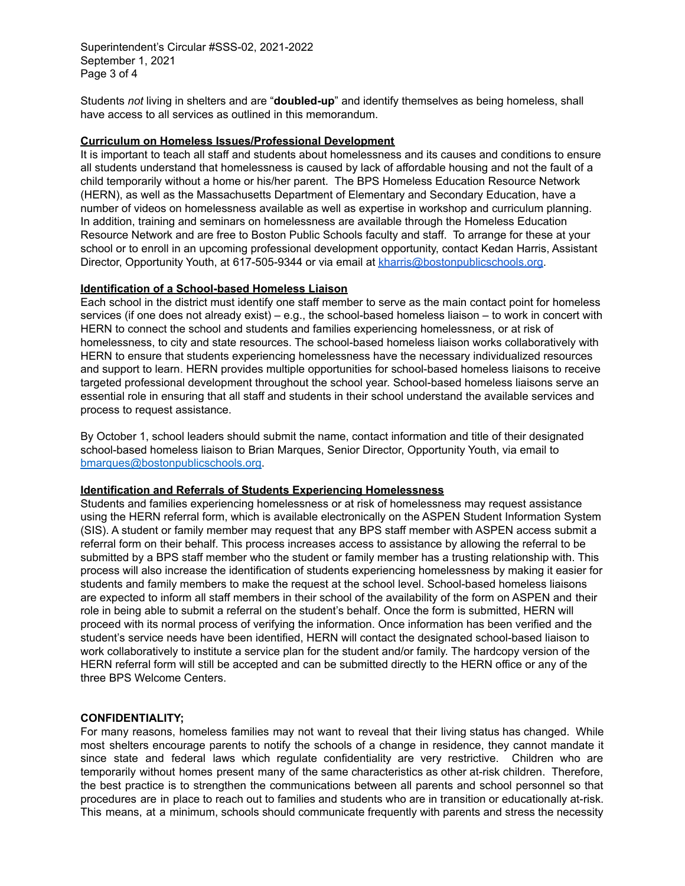Superintendent's Circular #SSS-02, 2021-2022 September 1, 2021 Page 3 of 4

Students *not* living in shelters and are "**doubled-up**" and identify themselves as being homeless, shall have access to all services as outlined in this memorandum.

#### **Curriculum on Homeless Issues/Professional Development**

It is important to teach all staff and students about homelessness and its causes and conditions to ensure all students understand that homelessness is caused by lack of affordable housing and not the fault of a child temporarily without a home or his/her parent. The BPS Homeless Education Resource Network (HERN), as well as the Massachusetts Department of Elementary and Secondary Education, have a number of videos on homelessness available as well as expertise in workshop and curriculum planning. In addition, training and seminars on homelessness are available through the Homeless Education Resource Network and are free to Boston Public Schools faculty and staff. To arrange for these at your school or to enroll in an upcoming professional development opportunity, contact Kedan Harris, Assistant Director, Opportunity Youth, at 617-505-9344 or via email at [kharris@bostonpublicschools.org.](mailto:kharris@bostonpublicschools.org)

#### **Identification of a School-based Homeless Liaison**

Each school in the district must identify one staff member to serve as the main contact point for homeless services (if one does not already exist) – e.g., the school-based homeless liaison – to work in concert with HERN to connect the school and students and families experiencing homelessness, or at risk of homelessness, to city and state resources. The school-based homeless liaison works collaboratively with HERN to ensure that students experiencing homelessness have the necessary individualized resources and support to learn. HERN provides multiple opportunities for school-based homeless liaisons to receive targeted professional development throughout the school year. School-based homeless liaisons serve an essential role in ensuring that all staff and students in their school understand the available services and process to request assistance.

By October 1, school leaders should submit the name, contact information and title of their designated school-based homeless liaison to Brian Marques, Senior Director, Opportunity Youth, via email to [bmarques@bostonpublicschools.org.](mailto:bmarques@bostonpublicschools.org)

#### **Identification and Referrals of Students Experiencing Homelessness**

Students and families experiencing homelessness or at risk of homelessness may request assistance using the HERN referral form, which is available electronically on the ASPEN Student Information System (SIS). A student or family member may request that any BPS staff member with ASPEN access submit a referral form on their behalf. This process increases access to assistance by allowing the referral to be submitted by a BPS staff member who the student or family member has a trusting relationship with. This process will also increase the identification of students experiencing homelessness by making it easier for students and family members to make the request at the school level. School-based homeless liaisons are expected to inform all staff members in their school of the availability of the form on ASPEN and their role in being able to submit a referral on the student's behalf. Once the form is submitted, HERN will proceed with its normal process of verifying the information. Once information has been verified and the student's service needs have been identified, HERN will contact the designated school-based liaison to work collaboratively to institute a service plan for the student and/or family. The hardcopy version of the HERN referral form will still be accepted and can be submitted directly to the HERN office or any of the three BPS Welcome Centers.

#### **CONFIDENTIALITY;**

For many reasons, homeless families may not want to reveal that their living status has changed. While most shelters encourage parents to notify the schools of a change in residence, they cannot mandate it since state and federal laws which regulate confidentiality are very restrictive. Children who are temporarily without homes present many of the same characteristics as other at-risk children. Therefore, the best practice is to strengthen the communications between all parents and school personnel so that procedures are in place to reach out to families and students who are in transition or educationally at-risk. This means, at a minimum, schools should communicate frequently with parents and stress the necessity